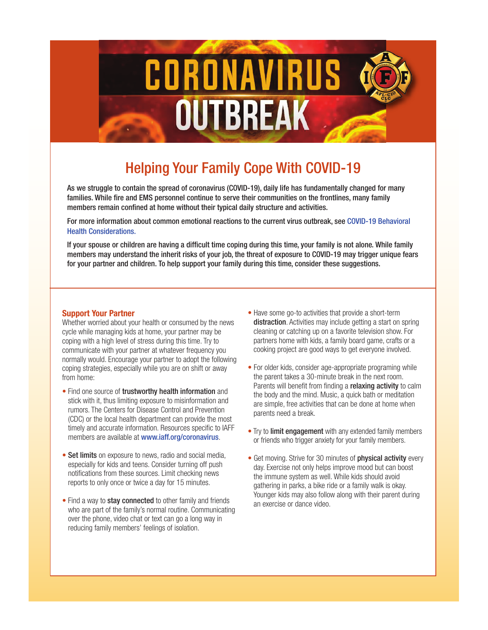

# Helping Your Family Cope With COVID-19

As we struggle to contain the spread of coronavirus (COVID-19), daily life has fundamentally changed for many families. While fire and EMS personnel continue to serve their communities on the frontlines, many family members remain confined at home without their typical daily structure and activities.

For more information about common emotional reactions to the current virus outbreak, see [COVID-19 Behavioral](https://www.iaff.org/wp-content/uploads/Coronavirus_Flyer1_v2.pdf) [Health Considerations.](https://www.iaff.org/wp-content/uploads/Coronavirus_Flyer1_v2.pdf)

If your spouse or children are having a difficult time coping during this time, your family is not alone. While family members may understand the inherit risks of your job, the threat of exposure to COVID-19 may trigger unique fears for your partner and children. To help support your family during this time, consider these suggestions.

#### **Support Your Partner**

Whether worried about your health or consumed by the news cycle while managing kids at home, your partner may be coping with a high level of stress during this time. Try to communicate with your partner at whatever frequency you normally would. Encourage your partner to adopt the following coping strategies, especially while you are on shift or away from home:

- rumors. The Centers for Disease Control and Prevention<br>Controllable managements head a break (CDC) or the local health department can provide the most parents need a break. timely and accurate information. Resources specific to IAFF **or Trulish and a mean ement** with any e • Find one source of trustworthy health information and stick with it, thus limiting exposure to misinformation and members are available at [www.iaff.org/coronavirus](https://www.iaff.org/coronavirus/).
- Set limits on exposure to news, radio and social media, experiment on exposure to news, radio and social media, especially for kids and teens. Consider turning off push notifications from these sources. Limit checking news reports to only once or twice a day for 15 minutes.
- over the phone, video chat or text can go a long way in reducing family members' feelings of isolation. • Find a way to stay connected to other family and friends who are part of the family's normal routine. Communicating
- Have some go-to activities that provide a short-term distraction. Activities may include getting a start on spring cleaning or catching up on a favorite television show. For partners home with kids, a family board game, crafts or a cooking project are good ways to get everyone involved.
- $\frac{1}{2}$  the parent takes a 30-minute break in the next room. **Parents will benefit from finding a relaxing activity** to calm • For older kids, consider age-appropriate programing while the body and the mind. Music, a quick bath or meditation are simple, free activities that can be done at home when parents need a break.
	- Try to limit engagement with any extended family members or friends who trigger anxiety for your family members.
- for 15 minutes. The same of the ring in parks, a bike ride or a family walk is okay. Younger kids may also follow along with their parent during • Get moving. Strive for 30 minutes of **physical activity** every day. Exercise not only helps improve mood but can boost the immune system as well. While kids should avoid an exercise or dance video.